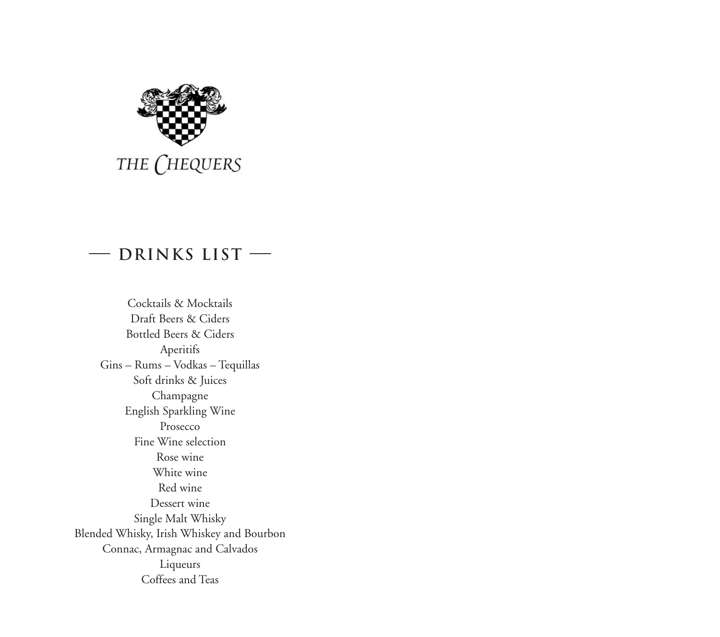

### **––– Drinks List –––**

Cocktails & Mocktails Draft Beers & Ciders Bottled Beers & Ciders Aperitifs Gins – Rums – Vodkas – Tequillas Soft drinks & Juices Champagne English Sparkling Wine Prosecco Fine Wine selection Rose wine White wine Red wine Dessert wine Single Malt Whisky Blended Whisky, Irish Whiskey and Bourbon Connac, Armagnac and Calvados Liqueurs Coffees and Teas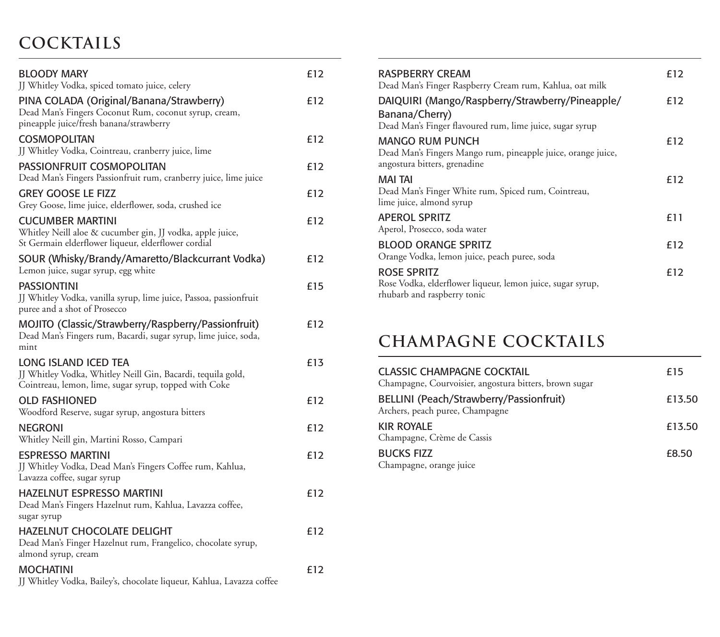# **Cocktails**

| <b>BLOODY MARY</b><br>JJ Whitley Vodka, spiced tomato juice, celery                                                                          | £12 |
|----------------------------------------------------------------------------------------------------------------------------------------------|-----|
| PINA COLADA (Original/Banana/Strawberry)<br>Dead Man's Fingers Coconut Rum, coconut syrup, cream,<br>pineapple juice/fresh banana/strawberry | £12 |
| <b>COSMOPOLITAN</b><br>JJ Whitley Vodka, Cointreau, cranberry juice, lime                                                                    | £12 |
| PASSIONFRUIT COSMOPOLITAN<br>Dead Man's Fingers Passionfruit rum, cranberry juice, lime juice                                                | £12 |
| <b>GREY GOOSE LE FIZZ</b><br>Grey Goose, lime juice, elderflower, soda, crushed ice                                                          | £12 |
| <b>CUCUMBER MARTINI</b><br>Whitley Neill aloe & cucumber gin, JJ vodka, apple juice,<br>St Germain elderflower liqueur, elderflower cordial  | £12 |
| SOUR (Whisky/Brandy/Amaretto/Blackcurrant Vodka)<br>Lemon juice, sugar syrup, egg white                                                      | £12 |
| <b>PASSIONTINI</b><br>JJ Whitley Vodka, vanilla syrup, lime juice, Passoa, passionfruit<br>puree and a shot of Prosecco                      | £15 |
| MOJITO (Classic/Strawberry/Raspberry/Passionfruit)<br>Dead Man's Fingers rum, Bacardi, sugar syrup, lime juice, soda,<br>mint                | £12 |
| LONG ISLAND ICED TEA<br>JJ Whitley Vodka, Whitley Neill Gin, Bacardi, tequila gold,<br>Cointreau, lemon, lime, sugar syrup, topped with Coke | £13 |
| <b>OLD FASHIONED</b><br>Woodford Reserve, sugar syrup, angostura bitters                                                                     | £12 |
| <b>NEGRONI</b><br>Whitley Neill gin, Martini Rosso, Campari                                                                                  | £12 |
| <b>ESPRESSO MARTINI</b><br>JJ Whitley Vodka, Dead Man's Fingers Coffee rum, Kahlua,<br>Lavazza coffee, sugar syrup                           | £12 |
| <b>HAZELNUT ESPRESSO MARTINI</b><br>Dead Man's Fingers Hazelnut rum, Kahlua, Lavazza coffee,<br>sugar syrup                                  | £12 |
| HAZELNUT CHOCOLATE DELIGHT<br>Dead Man's Finger Hazelnut rum, Frangelico, chocolate syrup,<br>almond syrup, cream                            | £12 |
| <b>MOCHATINI</b><br>JJ Whitley Vodka, Bailey's, chocolate liqueur, Kahlua, Lavazza coffee                                                    | £12 |

| <b>RASPBERRY CREAM</b><br>Dead Man's Finger Raspberry Cream rum, Kahlua, oat milk                                             | £12 |
|-------------------------------------------------------------------------------------------------------------------------------|-----|
| DAIQUIRI (Mango/Raspberry/Strawberry/Pineapple/<br>Banana/Cherry)<br>Dead Man's Finger flavoured rum, lime juice, sugar syrup | £12 |
| MANGO RUM PUNCH<br>Dead Man's Fingers Mango rum, pineapple juice, orange juice,<br>angostura bitters, grenadine               | £12 |
| mai tai<br>Dead Man's Finger White rum, Spiced rum, Cointreau,<br>lime juice, almond syrup                                    | £12 |
| <b>APEROL SPRITZ</b><br>Aperol, Prosecco, soda water                                                                          | £11 |
| <b>BLOOD ORANGE SPRITZ</b><br>Orange Vodka, lemon juice, peach puree, soda                                                    | £12 |
| ROSE SPRITZ<br>Rose Vodka, elderflower liqueur, lemon juice, sugar syrup,<br>rhubarb and raspberry tonic                      | £12 |

# **Champagne Cocktails**

| CLASSIC CHAMPAGNE COCKTAIL<br>Champagne, Courvoisier, angostura bitters, brown sugar | £15    |
|--------------------------------------------------------------------------------------|--------|
| BELLINI (Peach/Strawberry/Passionfruit)<br>Archers, peach puree, Champagne           | £13.50 |
| <b>KIR ROYALE</b><br>Champagne, Crème de Cassis                                      | £13.50 |
| <b>BUCKS FIZZ</b><br>Champagne, orange juice                                         | £8.50  |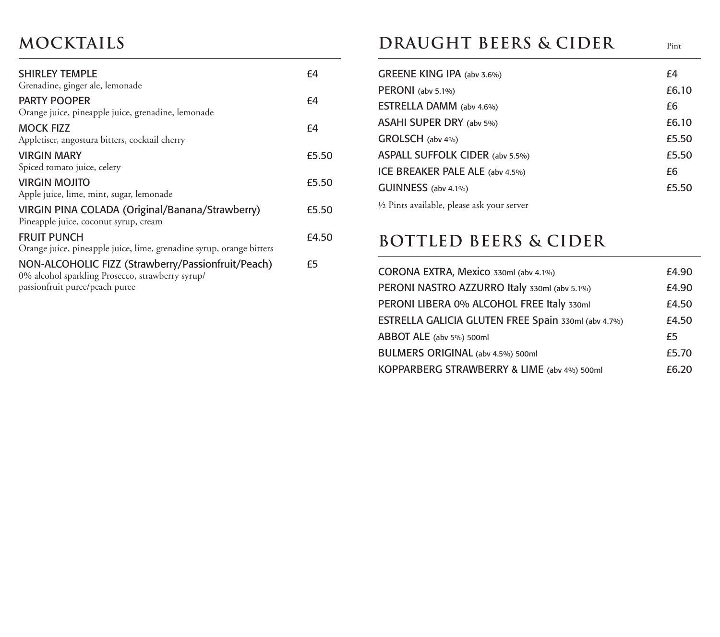# **Mocktails**

| <b>SHIRLEY TEMPLE</b><br>Grenadine, ginger ale, lemonade                                                                                 | f4    |
|------------------------------------------------------------------------------------------------------------------------------------------|-------|
|                                                                                                                                          |       |
| <b>PARTY POOPER</b><br>Orange juice, pineapple juice, grenadine, lemonade                                                                | f4    |
| <b>MOCK FIZZ</b><br>Appletiser, angostura bitters, cocktail cherry                                                                       | f4    |
| <b>VIRGIN MARY</b><br>Spiced tomato juice, celery                                                                                        | £5.50 |
| <b>VIRGIN MOJITO</b><br>Apple juice, lime, mint, sugar, lemonade                                                                         | £5.50 |
| VIRGIN PINA COLADA (Original/Banana/Strawberry)<br>Pineapple juice, coconut syrup, cream                                                 | £5.50 |
| <b>FRUIT PUNCH</b><br>Orange juice, pineapple juice, lime, grenadine syrup, orange bitters                                               | £4.50 |
| NON-ALCOHOLIC FIZZ (Strawberry/Passionfruit/Peach)<br>0% alcohol sparkling Prosecco, strawberry syrup/<br>passionfruit puree/peach puree | £5    |
|                                                                                                                                          |       |

# **DRAUGHT BEERS & CIDER** Pint

| GREENE KING IPA (abv 3.6%)                            | f4    |
|-------------------------------------------------------|-------|
| $PERONI$ (abv 5.1%)                                   | £6.10 |
| <b>ESTRELLA DAMM</b> (abv 4.6%)                       | £6    |
| ASAHI SUPER DRY (abv 5%)                              | £6.10 |
| GROLSCH (abv 4%)                                      | £5.50 |
| ASPALL SUFFOLK CIDER (abv 5.5%)                       | £5.50 |
| ICE BREAKER PALE ALE (abv 4.5%)                       | £6    |
| GUINNESS (abv 4.1%)                                   | £5.50 |
| $\frac{1}{2}$ Pints available, please ask your server |       |

### **Bottled BeerS & Cider**

| CORONA EXTRA, Mexico 330ml (abv 4.1%)               | £4.90 |
|-----------------------------------------------------|-------|
| PERONI NASTRO AZZURRO Italy 330ml (abv 5.1%)        | £4.90 |
| PERONI LIBERA 0% ALCOHOL FREE Italy 330ml           | £4.50 |
| ESTRELLA GALICIA GLUTEN FREE Spain 330ml (abv 4.7%) | £4.50 |
| ABBOT ALE (abv 5%) 500ml                            | £5    |
| BULMERS ORIGINAL (abv 4.5%) 500ml                   | £5.70 |
| KOPPARBERG STRAWBERRY & LIME (abv 4%) 500ml         | £6.20 |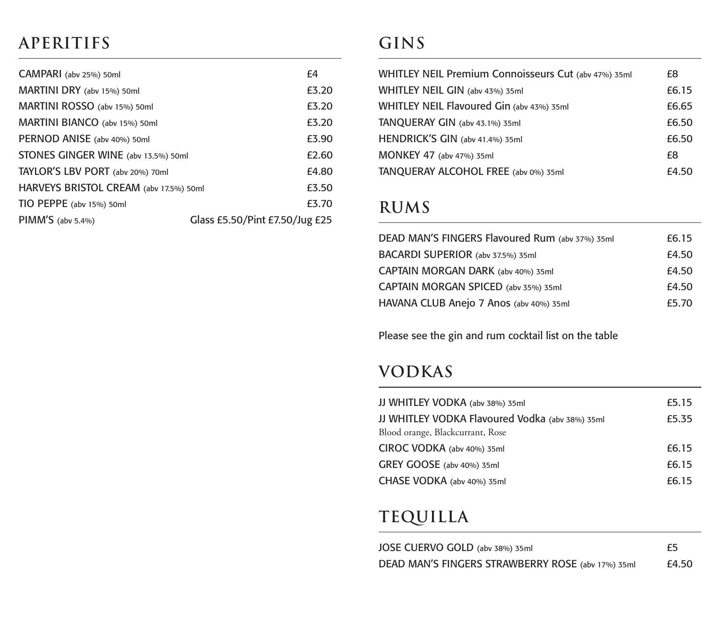# **Aperitifs**

| CAMPARI (abv 25%) 50ml                 | f4                             |
|----------------------------------------|--------------------------------|
| MARTINI DRY (abv 15%) 50ml             | £3.20                          |
| MARTINI ROSSO (abv 15%) 50ml           | £3.20                          |
| MARTINI BIANCO (abv 15%) 50ml          | £3.20                          |
| PERNOD ANISE (abv 40%) 50ml            | £3.90                          |
| STONES GINGER WINE (abv 13.5%) 50ml    | £2.60                          |
| TAYLOR'S LBV PORT (abv 20%) 70ml       | £4.80                          |
| HARVEYS BRISTOL CREAM (abv 17.5%) 50ml | £3.50                          |
| TIO PEPPE (abv 15%) 50ml               | £3.70                          |
| PIMM'S (abv 5.4%)                      | Glass £5.50/Pint £7.50/Jug £25 |

# **Gins**

| WHITLEY NEIL Premium Connoisseurs Cut (abv 47%) 35ml | £8    |
|------------------------------------------------------|-------|
| WHITLEY NEIL GIN (abv 43%) 35ml                      | £6.15 |
| WHITLEY NEIL Flavoured Gin (abv 43%) 35ml            | £6.65 |
| TANQUERAY GIN (abv 43.1%) 35ml                       | £6.50 |
| HENDRICK'S GIN (abv 41.4%) 35ml                      | £6.50 |
| <b>MONKEY 47</b> (abv 47%) 35ml                      | £8    |
| TANQUERAY ALCOHOL FREE (abv 0%) 35ml                 | £4.50 |

# **Rums**

| DEAD MAN'S FINGERS Flavoured Rum (abv 37%) 35ml | £6.15 |
|-------------------------------------------------|-------|
| BACARDI SUPERIOR (abv 37.5%) 35ml               | £4.50 |
| CAPTAIN MORGAN DARK (abv 40%) 35ml              | £4.50 |
| CAPTAIN MORGAN SPICED (abv 35%) 35ml            | £4.50 |
| HAVANA CLUB Anejo 7 Anos (abv 40%) 35ml         | £5.70 |

Please see the gin and rum cocktail list on the table

# **Vodkas**

| JJ WHITLEY VODKA (abv 38%) 35ml                 | £5.15 |
|-------------------------------------------------|-------|
| JJ WHITLEY VODKA Flavoured Vodka (abv 38%) 35ml | £5.35 |
| Blood orange, Blackcurrant, Rose                |       |
| CIROC VODKA (abv 40%) 35ml                      | £6.15 |
| GREY GOOSE (abv 40%) 35ml                       | £6.15 |
| CHASE VODKA (abv 40%) 35ml                      | £6.15 |

# **Tequilla**

| JOSE CUERVO GOLD (abv 38%) 35ml                   | £5    |
|---------------------------------------------------|-------|
| DEAD MAN'S FINGERS STRAWBERRY ROSE (abv 17%) 35ml | £4.50 |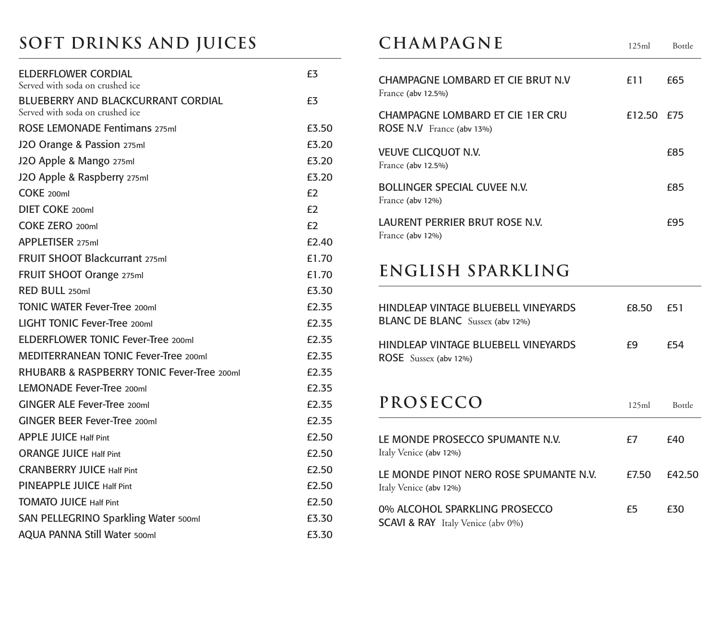# **Soft Drinks and Juices**

| <b>ELDERFLOWER CORDIAL</b><br>Served with soda on crushed ice         | f3                |
|-----------------------------------------------------------------------|-------------------|
| BLUEBERRY AND BLACKCURRANT CORDIAL<br>Served with soda on crushed ice | £3                |
| <b>ROSE LEMONADE Fentimans 275ml</b>                                  | £3.50             |
| J2O Orange & Passion 275ml                                            | £3.20             |
| J2O Apple & Mango 275ml                                               | £3.20             |
| J2O Apple & Raspberry 275ml                                           | £3.20             |
| $COKE$ 200ml                                                          | £2                |
| DIFT COKE 200ml                                                       | £2                |
| COKE ZERO 200ml                                                       | f2                |
| APPLETISER 275ml                                                      | £2.40             |
| <b>FRUIT SHOOT Blackcurrant 275ml</b>                                 | £1.70             |
| FRUIT SHOOT Orange 275ml                                              | £1.70             |
| RED BULL 250ml                                                        | £3.30             |
| <b>TONIC WATER Fever-Tree 200ml</b>                                   | £2.35             |
| LIGHT TONIC Fever-Tree 200ml                                          | £2.35             |
| <b>ELDERFLOWER TONIC Fever-Tree 200ml</b>                             | £2.35             |
| <b>MEDITERRANEAN TONIC Fever-Tree 200ml</b>                           | £2.35             |
| RHUBARB & RASPBERRY TONIC Fever-Tree 200ml                            | £2.35             |
| LEMONADE Fever-Tree 200ml                                             | £2.35             |
| GINGER ALE Fever-Tree 200ml                                           | F <sub>2.35</sub> |
| GINGER BEER Fever-Tree 200ml                                          | £2.35             |
| <b>APPLE JUICE Half Pint</b>                                          | £2.50             |
| <b>ORANGE JUICE Half Pint</b>                                         | £2.50             |
| <b>CRANBERRY JUICE Half Pint</b>                                      | £2.50             |
| PINEAPPLE JUICE Half Pint                                             | £2.50             |
| <b>TOMATO JUICE Half Pint</b>                                         | £2.50             |
| SAN PELLEGRINO Sparkling Water 500ml                                  | £3.30             |
| <b>AQUA PANNA Still Water 500ml</b>                                   | £3.30             |

# **CHAMPAGNE** 125ml Bottle

| CHAMPAGNE LOMBARD ET CIE BRUT N.V<br>France (aby 12.5%)       | f 11       | £65 |
|---------------------------------------------------------------|------------|-----|
| CHAMPAGNE LOMBARD ET CIE 1ER CRU<br>ROSE N.V France (abv 13%) | £12.50 £75 |     |
| <b>VEUVE CLICQUOT N.V.</b><br>France (aby 12.5%)              |            | £85 |
| <b>BOLLINGER SPECIAL CUVEE N.V.</b><br>France (aby 12%)       |            | £85 |
| LAURENT PERRIER BRUT ROSE N.V.<br>France (aby 12%)            |            | f95 |

### **English sparkling**

| HINDLEAP VINTAGE BLUEBELL VINEYARDS<br><b>BLANC DE BLANC</b> Sussex (abv 12%) | F8.50 a | <b>£51</b> |
|-------------------------------------------------------------------------------|---------|------------|
| HINDLEAP VINTAGE BLUEBELL VINEYARDS<br><b>ROSE</b> Sussex (abv 12%)           | £9      | f54        |

### PROSECCO

| 17 KUSELLU                                                                    | 125ml | <b>Bottle</b> |
|-------------------------------------------------------------------------------|-------|---------------|
| LE MONDE PROSECCO SPUMANTE N.V.<br>Italy Venice (abv 12%)                     | £7    | £40           |
| LE MONDE PINOT NERO ROSE SPUMANTE N.V.<br>Italy Venice (aby 12%)              | £7.50 | £42.50        |
| 0% ALCOHOL SPARKLING PROSECCO<br><b>SCAVI &amp; RAY</b> Italy Venice (aby 0%) | £5    | £30           |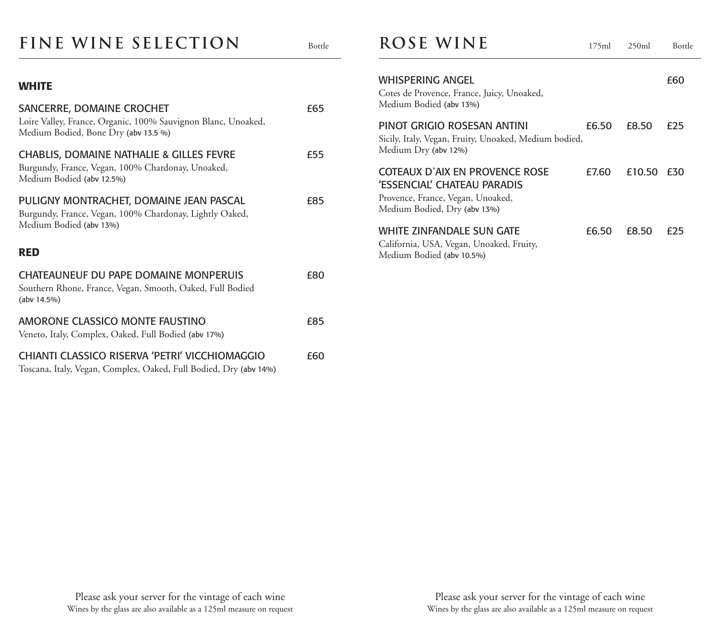### FINE WINE SELECTION Bottle

#### **WHITE**

| SANCERRE, DOMAINE CROCHET<br>Loire Valley, France, Organic, 100% Sauvignon Blanc, Unoaked,<br>Medium Bodied, Bone Dry (abv 13.5 %)    | £65 |
|---------------------------------------------------------------------------------------------------------------------------------------|-----|
| <b>CHABLIS, DOMAINE NATHALIE &amp; GILLES FEVRE</b><br>Burgundy, France, Vegan, 100% Chardonay, Unoaked,<br>Medium Bodied (abv 12.5%) | £55 |
| PULIGNY MONTRACHET, DOMAINE JEAN PASCAL<br>Burgundy, France, Vegan, 100% Chardonay, Lightly Oaked,<br>Medium Bodied (abv 13%)         | £85 |
| <b>RED</b>                                                                                                                            |     |
| CHATEAUNEUF DU PAPE DOMAINE MONPERUIS<br>Southern Rhone, France, Vegan, Smooth, Oaked, Full Bodied<br>(abv 14.5%)                     | £80 |
| AMORONE CLASSICO MONTE FAUSTINO<br>Veneto, Italy, Complex, Oaked, Full Bodied (abv 17%)                                               | £85 |
| CHIANTI CLASSICO RISERVA 'PETRI' VICCHIOMAGGIO<br>Toscana, Italy, Vegan, Complex, Oaked, Full Bodied, Dry (abv 14%)                   | £60 |

#### **ROSE WINE** 175ml 250ml Bottle

| <b>WHISPERING ANGEL</b><br>Cotes de Provence, France, Juicy, Unoaked,<br>Medium Bodied (abv 13%)                                   |       |        | <b>f60</b> |
|------------------------------------------------------------------------------------------------------------------------------------|-------|--------|------------|
| PINOT GRIGIO ROSESAN ANTINI<br>Sicily, Italy, Vegan, Fruity, Unoaked, Medium bodied,<br>Medium Dry (abv 12%)                       | £6.50 | £8.50  | £25        |
| COTEAUX D'AIX EN PROVENCE ROSE<br>'ESSENCIAL' CHATEAU PARADIS<br>Provence, France, Vegan, Unoaked,<br>Medium Bodied, Dry (abv 13%) | £7.60 | £10.50 | £30        |
| WHITE ZINFANDALE SUN GATE<br>California, USA, Vegan, Unoaked, Fruity,<br>Medium Bodied (abv 10.5%)                                 | £6.50 | £8.50  | f75        |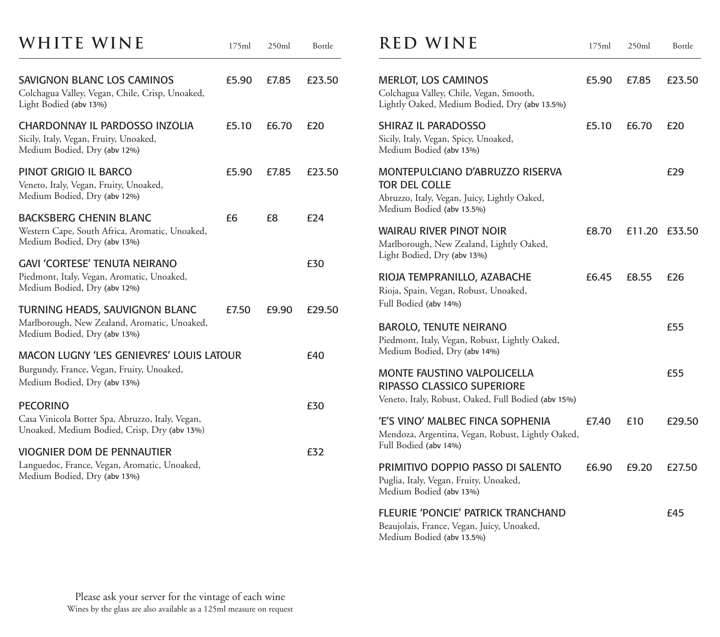| WHITE WINE                                                                                                                   | 175ml | 250ml | Bottle | <b>RED</b>                                                           |
|------------------------------------------------------------------------------------------------------------------------------|-------|-------|--------|----------------------------------------------------------------------|
| SAVIGNON BLANC LOS CAMINOS<br>Colchagua Valley, Vegan, Chile, Crisp, Unoaked,<br>Light Bodied (abv 13%)                      | £5.90 | £7.85 | £23.50 | Merlot, Lo<br>Colchagua Va<br>Lightly Oake                           |
| CHARDONNAY IL PARDOSSO INZOLIA<br>Sicily, Italy, Vegan, Fruity, Unoaked,<br>Medium Bodied, Dry (abv 12%)                     | £5.10 | £6.70 | £20    | <b>SHIRAZ IL F</b><br>Sicily, Italy, V<br>Medium Bod                 |
| PINOT GRIGIO IL BARCO<br>Veneto, Italy, Vegan, Fruity, Unoaked,<br>Medium Bodied, Dry (abv 12%)                              | £5.90 | £7.85 | £23.50 | <b>MONTEPUL</b><br>TOR DEL CO<br>Abruzzo, Italy                      |
| <b>BACKSBERG CHENIN BLANC</b><br>Western Cape, South Africa, Aromatic, Unoaked,<br>Medium Bodied, Dry (abv 13%)              | £6    | £8    | £24    | Medium Bod<br><b>WAIRAU RI</b><br>Marlborough                        |
| <b>GAVI 'CORTESE' TENUTA NEIRANO</b><br>Piedmont, Italy, Vegan, Aromatic, Unoaked,<br>Medium Bodied, Dry (abv 12%)           |       |       | £30    | Light Bodied,<br><b>RIOJA TEMI</b><br>Rioja, Spain,                  |
| TURNING HEADS, SAUVIGNON BLANC<br>Marlborough, New Zealand, Aromatic, Unoaked,<br>Medium Bodied, Dry (abv 13%)               | £7.50 | £9.90 | £29.50 | Full Bodied (a<br><b>BAROLO, TI</b><br>Piedmont, Ita                 |
| <b>MACON LUGNY 'LES GENIEVRES' LOUIS LATOUR</b><br>Burgundy, France, Vegan, Fruity, Unoaked,<br>Medium Bodied, Dry (abv 13%) |       |       | £40    | Medium Bod<br><b>MONTE FAI</b><br><b>RIPASSO CI</b>                  |
| <b>PECORINO</b><br>Casa Vinicola Botter Spa, Abruzzo, Italy, Vegan,<br>Unoaked, Medium Bodied, Crisp, Dry (abv 13%)          |       |       | £30    | Veneto, Italy,<br>'E'S VINO' I<br>Mendoza, Arg                       |
| <b>VIOGNIER DOM DE PENNAUTIER</b><br>Languedoc, France, Vegan, Aromatic, Unoaked,<br>Medium Bodied, Dry (abv 13%)            |       |       | £32    | Full Bodied (a<br><b>PRIMITIVO</b><br>Puglia, Italy, V<br>Medium Bod |
|                                                                                                                              |       |       |        | <b>FLEURIE 'P</b><br>Beaujolais, Fr                                  |

| <b>RED WINE</b>                                                                                                               | 175ml | 250ml  | Bottle |
|-------------------------------------------------------------------------------------------------------------------------------|-------|--------|--------|
| <b>MERLOT, LOS CAMINOS</b><br>Colchagua Valley, Chile, Vegan, Smooth,<br>Lightly Oaked, Medium Bodied, Dry (abv 13.5%)        | £5.90 | £7.85  | £23.50 |
| SHIRAZ IL PARADOSSO<br>Sicily, Italy, Vegan, Spicy, Unoaked,<br>Medium Bodied (abv 13%)                                       | £5.10 | £6.70  | £20    |
| MONTEPULCIANO D'ABRUZZO RISERVA<br>TOR DEL COLLE<br>Abruzzo, Italy, Vegan, Juicy, Lightly Oaked,<br>Medium Bodied (abv 13.5%) |       |        | £29    |
| <b>WAIRAU RIVER PINOT NOIR</b><br>Marlborough, New Zealand, Lightly Oaked,<br>Light Bodied, Dry (abv 13%)                     | £8.70 | £11.20 | £33.50 |
| RIOJA TEMPRANILLO, AZABACHE<br>Rioja, Spain, Vegan, Robust, Unoaked,<br>Full Bodied (abv 14%)                                 | £6.45 | £8.55  | £26    |
| <b>BAROLO, TENUTE NEIRANO</b><br>Piedmont, Italy, Vegan, Robust, Lightly Oaked,<br>Medium Bodied, Dry (abv 14%)               |       |        | £55    |
| <b>MONTE FAUSTINO VALPOLICELLA</b><br>RIPASSO CLASSICO SUPERIORE<br>Veneto, Italy, Robust, Oaked, Full Bodied (abv 15%)       |       |        | £55    |
| 'E'S VINO' MALBEC FINCA SOPHENIA<br>Mendoza, Argentina, Vegan, Robust, Lightly Oaked,<br>Full Bodied (abv 14%)                | £7.40 | £10    | £29.50 |
| PRIMITIVO DOPPIO PASSO DI SALENTO<br>Puglia, Italy, Vegan, Fruity, Unoaked,<br>Medium Bodied (abv 13%)                        | £6.90 | £9.20  | £27.50 |
| FLEURIE 'PONCIE' PATRICK TRANCHAND<br>Beaujolais, France, Vegan, Juicy, Unoaked,<br>Medium Bodied (abv 13.5%)                 |       |        | £45    |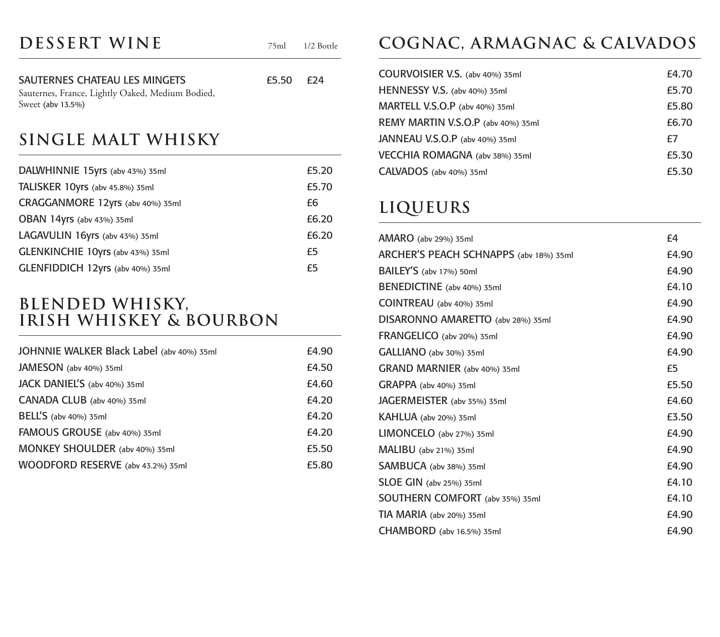| DESSERT WINE | 75ml 1/2 Bottle |
|--------------|-----------------|
|              |                 |

SAUTERNES CHATEAU LES MINGETS  $£5.50$  £24 Sauternes, France, Lightly Oaked, Medium Bodied, Sweet (abv 13.5%)

### **Single Malt Whisky**

| DALWHINNIE 15yrs (abv 43%) 35ml  | £5.20 |
|----------------------------------|-------|
| TALISKER 10yrs (abv 45.8%) 35ml  | £5.70 |
| CRAGGANMORE 12yrs (abv 40%) 35ml | £6    |
| OBAN 14yrs (abv 43%) 35ml        | £6.20 |
| LAGAVULIN 16yrs (abv 43%) 35ml   | £6.20 |
| GLENKINCHIE 10yrs (abv 43%) 35ml | £5    |
| GLENFIDDICH 12yrs (abv 40%) 35ml | £5    |

#### **Blended Whisky, Irish Whiskey & Bourbon**

| JOHNNIE WALKER Black Label (abv 40%) 35ml | £4.90 |
|-------------------------------------------|-------|
| JAMESON (abv 40%) 35ml                    | £4.50 |
| JACK DANIEL'S (abv 40%) 35ml              | £4.60 |
| CANADA CLUB (abv 40%) 35ml                | £4.20 |
| BELL'S (abv 40%) 35ml                     | £4.20 |
| FAMOUS GROUSE (abv 40%) 35ml              | £4.20 |
| MONKEY SHOULDER (abv 40%) 35ml            | £5.50 |
| WOODFORD RESERVE (abv 43.2%) 35ml         | £5.80 |

# **Cognac, Armagnac & Calvados**

| COURVOISIER V.S. (abv 40%) 35ml    | £4.70 |
|------------------------------------|-------|
| HENNESSY V.S. (abv 40%) 35ml       | £5.70 |
| MARTELL V.S.O.P (abv 40%) 35ml     | £5.80 |
| REMY MARTIN V.S.O.P (abv 40%) 35ml | £6.70 |
| JANNEAU V.S.O.P (abv 40%) 35ml     | f7    |
| VECCHIA ROMAGNA (abv 38%) 35ml     | £5.30 |
| CALVADOS (abv 40%) 35ml            | £5.30 |

### **Liqueurs**

| AMARO (abv 29%) 35ml                   | f4    |
|----------------------------------------|-------|
| ARCHER'S PEACH SCHNAPPS (abv 18%) 35ml | £4.90 |
| BAILEY'S (abv 17%) 50ml                | £4.90 |
| BENEDICTINE (abv 40%) 35ml             | £4.10 |
| COINTREAU (abv 40%) 35ml               | £4.90 |
| DISARONNO AMARETTO (abv 28%) 35ml      | £4.90 |
| FRANGELICO (abv 20%) 35ml              | £4.90 |
| GALLIANO (abv 30%) 35ml                | £4.90 |
| GRAND MARNIER (abv 40%) 35ml           | £5    |
| GRAPPA (abv 40%) 35ml                  | £5.50 |
| <b>JAGERMEISTER</b> (abv 35%) 35ml     | £4.60 |
| KAHLUA (abv 20%) 35ml                  | £3.50 |
| LIMONCELO (abv 27%) 35ml               | £4.90 |
| MALIBU (abv 21%) 35ml                  | £4.90 |
| SAMBUCA (abv 38%) 35ml                 | £4.90 |
| SLOE GIN (abv 25%) 35ml                | £4.10 |
| SOUTHERN COMFORT (abv 35%) 35ml        | £4.10 |
| TIA MARIA (abv 20%) 35ml               | £4.90 |
| CHAMBORD (abv 16.5%) 35ml              | £4.90 |